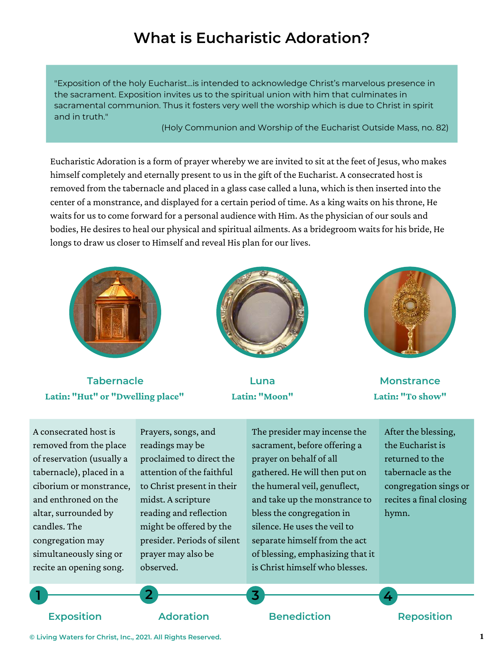# **What is Eucharistic Adoration?**

"Exposition of the holy Eucharist…is intended to acknowledge Christ's marvelous presence in the sacrament. Exposition invites us to the spiritual union with him that culminates in sacramental communion. Thus it fosters very well the worship which is due to Christ in spirit and in truth."

(Holy Communion and Worship of the Eucharist Outside Mass, no. 82)

Eucharistic Adoration is a form of prayer whereby we are invited to sit at the feet of Jesus, who makes himself completely and eternally present to us in the gift of the Eucharist. A consecrated host is removed from the tabernacle and placed in a glass case called a luna, which is then inserted into the center of a monstrance, and displayed for a certain period of time. As a king waits on his throne, He waits for us to come forward for a personal audience with Him. As the physician of our souls and bodies, He desires to heal our physical and spiritual ailments. As a bridegroom waits for his bride, He longs to draw us closer to Himself and reveal His plan for our lives.



**Tabernacle Latin: "Hut" or "Dwelling place"**



**Luna Latin: "Moon"**



**Monstrance Latin: "To show"**

A consecrated host is removed from the place of reservation (usually a tabernacle), placed in a ciborium or monstrance, and enthroned on the altar, surrounded by candles. The congregation may simultaneously sing or recite an opening song.

Prayers, songs, and readings may be proclaimed to direct the attention of the faithful to Christ present in their midst. A scripture reading and reflection might be offered by the presider. Periods of silent prayer may also be observed.

The presider may incense the sacrament, before offering a prayer on behalf of all gathered. He will then put on the humeral veil, genuflect, and take up the monstrance to bless the congregation in silence. He uses the veil to separate himself from the act of blessing, emphasizing that it is Christ himself who blesses.

After the blessing, the Eucharist is returned to the tabernacle as the congregation sings or recites a final closing hymn.

**1 2 3 4**

#### **Exposition Adoration Benediction Reposition**

**© Living Waters for Christ, Inc., 2021. All Rights Reserved. 1**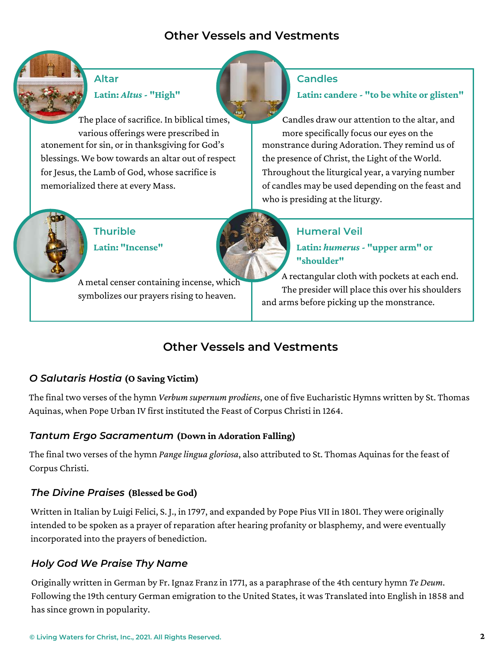## **Other Vessels and Vestments**



## **Altar Latin:** *Altus* **- "High"**

The place of sacrifice. In biblical times, various offerings were prescribed in atonement for sin, or in thanksgiving for God's blessings. We bow towards an altar out of respect for Jesus, the Lamb of God, whose sacrifice is memorialized there at every Mass.

#### **Candles**

#### **Latin: candere - "to be white or glisten"**

monstrance during Adoration. They remind us of the presence of Christ, the Light of the World. Throughout the liturgical year, a varying number of candles may be used depending on the feast and who is presiding at the liturgy. Candles draw our attention to the altar, and more specifically focus our eyes on the



A metal censer containing incense, which symbolizes our prayers rising to heaven.

**Latin:** *humerus* **- "upper arm" or "shoulder"**

**Humeral Veil**

A rectangular cloth with pockets at each end. The presider will place this over his shoulders and arms before picking up the monstrance.

## **Other Vessels and Vestments**

### *O Salutaris Hostia* **(O Saving Victim)**

**Thurible**

**Latin: "Incense"**

The final two verses of the hymn *Verbum supernum prodiens*, one of five Eucharistic Hymns written by St. Thomas Aquinas, when Pope Urban IV first instituted the Feast of Corpus Christi in 1264.

#### *Tantum Ergo Sacramentum* **(Down in Adoration Falling)**

The final two verses of the hymn *Pange lingua gloriosa*, also attributed to St. Thomas Aquinas for the feast of Corpus Christi.

#### *The Divine Praises* **(Blessed be God)**

Written in Italian by Luigi Felici, S. J., in 1797, and expanded by Pope Pius VII in 1801. They were originally intended to be spoken as a prayer of reparation after hearing profanity or blasphemy, and were eventually incorporated into the prayers of benediction.

### *Holy God We Praise Thy Name*

Originally written in German by Fr. Ignaz Franz in 1771, as a paraphrase of the 4th century hymn *Te Deum*. Following the 19th century German emigration to the United States, it was Translated into English in 1858 and has since grown in popularity.